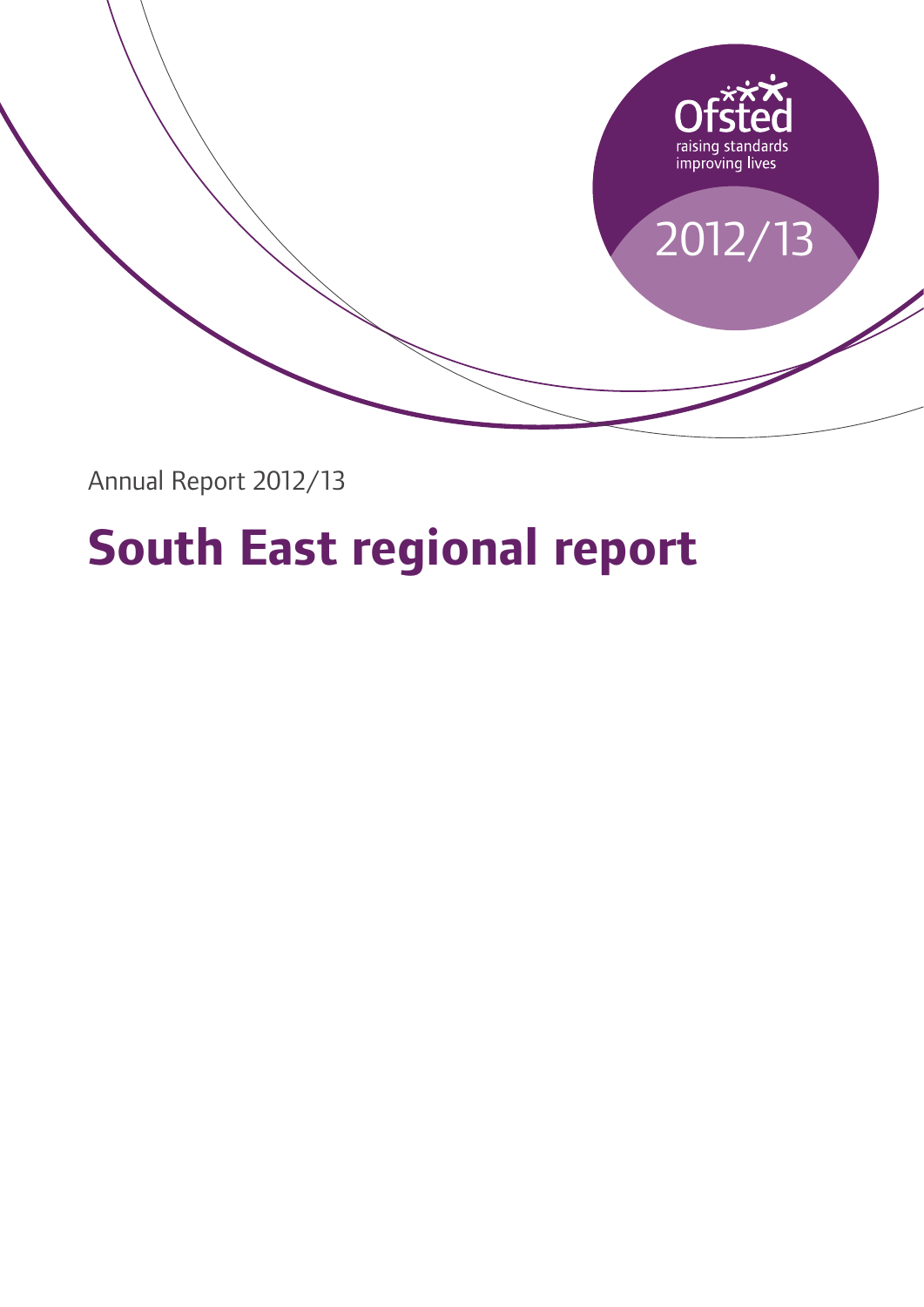

Annual Report 2012/13

# **South East regional report**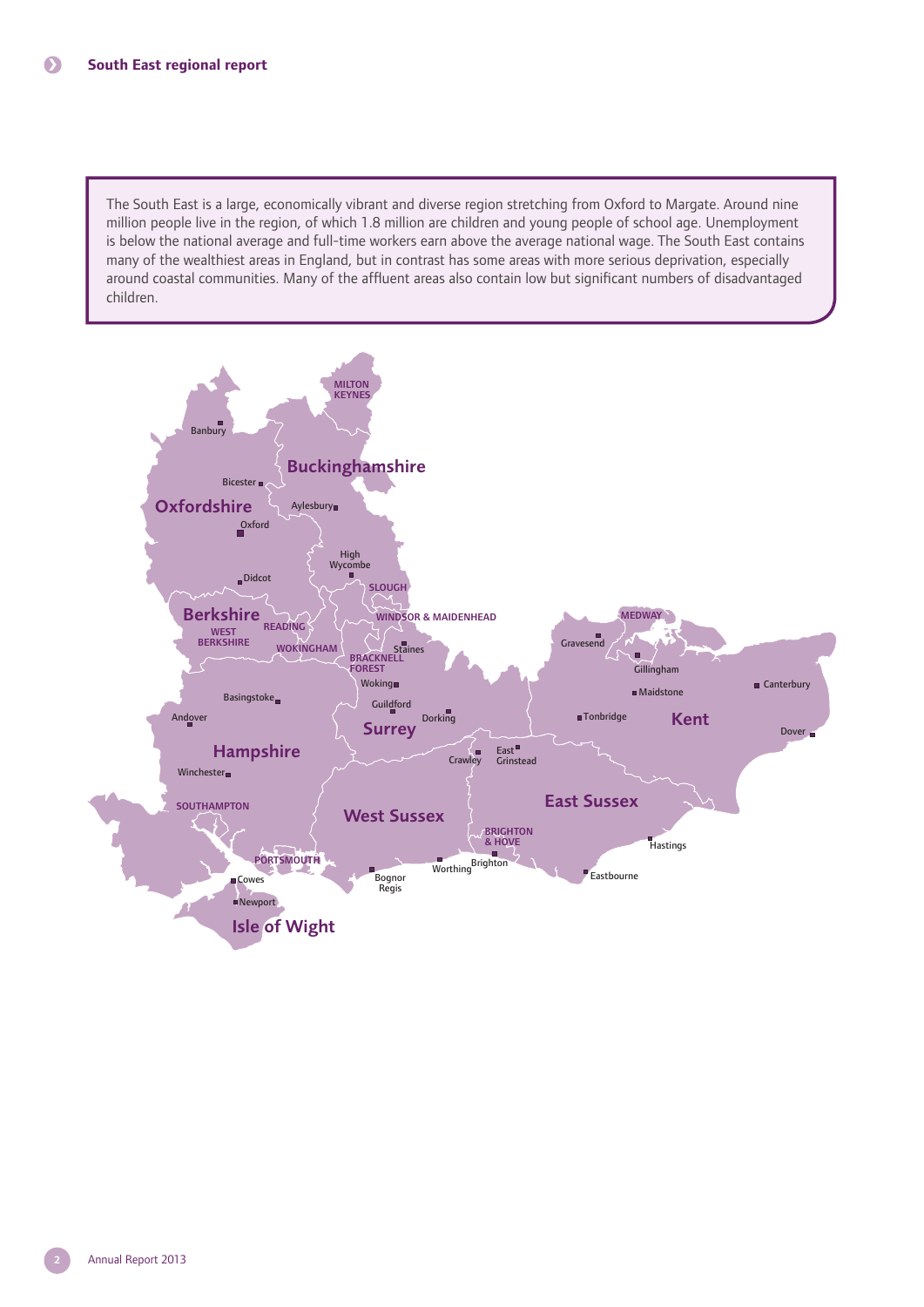The South East is a large, economically vibrant and diverse region stretching from Oxford to Margate. Around nine million people live in the region, of which 1.8 million are children and young people of school age. Unemployment is below the national average and full-time workers earn above the average national wage. The South East contains many of the wealthiest areas in England, but in contrast has some areas with more serious deprivation, especially around coastal communities. Many of the affluent areas also contain low but significant numbers of disadvantaged children.

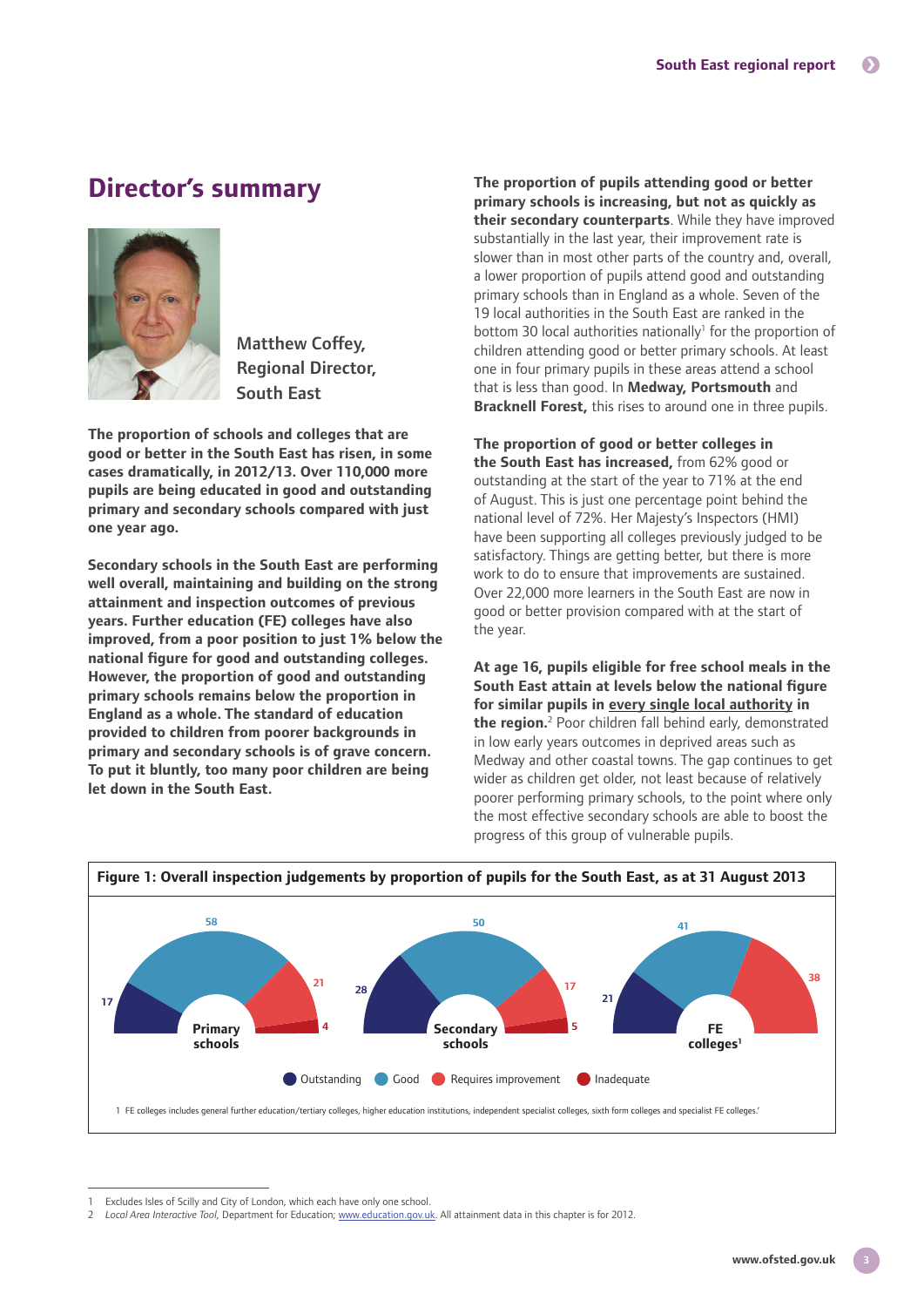## **Director's summary**



Matthew Coffey, Regional Director, South East

**The proportion of schools and colleges that are good or better in the South East has risen, in some cases dramatically, in 2012/13. Over 110,000 more pupils are being educated in good and outstanding primary and secondary schools compared with just one year ago.**

**Secondary schools in the South East are performing well overall, maintaining and building on the strong attainment and inspection outcomes of previous years. Further education (FE) colleges have also improved, from a poor position to just 1% below the national figure for good and outstanding colleges. However, the proportion of good and outstanding primary schools remains below the proportion in England as a whole. The standard of education provided to children from poorer backgrounds in primary and secondary schools is of grave concern. To put it bluntly, too many poor children are being let down in the South East.**

**The proportion of pupils attending good or better primary schools is increasing, but not as quickly as their secondary counterparts**. While they have improved substantially in the last year, their improvement rate is slower than in most other parts of the country and, overall, a lower proportion of pupils attend good and outstanding primary schools than in England as a whole. Seven of the 19 local authorities in the South East are ranked in the bottom 30 local authorities nationally<sup>1</sup> for the proportion of children attending good or better primary schools. At least one in four primary pupils in these areas attend a school that is less than good. In **Medway, Portsmouth** and **Bracknell Forest,** this rises to around one in three pupils.

**The proportion of good or better colleges in the South East has increased,** from 62% good or outstanding at the start of the year to 71% at the end of August. This is just one percentage point behind the national level of 72%. Her Majesty's Inspectors (HMI) have been supporting all colleges previously judged to be satisfactory. Things are getting better, but there is more work to do to ensure that improvements are sustained. Over 22,000 more learners in the South East are now in good or better provision compared with at the start of the year.

**At age 16, pupils eligible for free school meals in the South East attain at levels below the national figure for similar pupils in every single local authority in**  the region.<sup>2</sup> Poor children fall behind early, demonstrated in low early years outcomes in deprived areas such as Medway and other coastal towns. The gap continues to get wider as children get older, not least because of relatively poorer performing primary schools, to the point where only the most effective secondary schools are able to boost the progress of this group of vulnerable pupils.



Excludes Isles of Scilly and City of London, which each have only one school.

<sup>2</sup> *Local Area Interactive Tool,* Department for Education; www.education.gov.uk. All attainment data in this chapter is for 2012.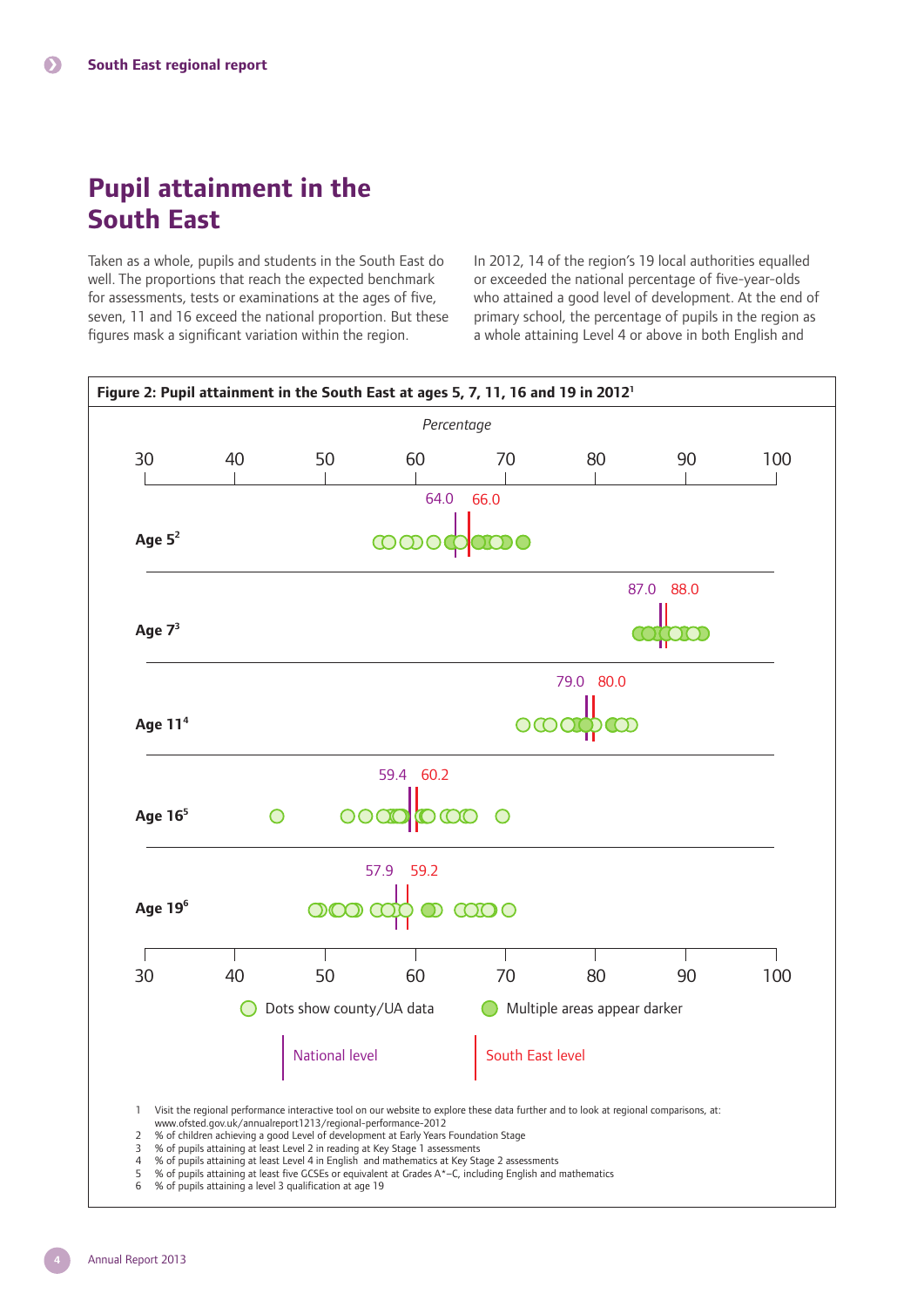# **Pupil attainment in the South East**

Taken as a whole, pupils and students in the South East do well. The proportions that reach the expected benchmark for assessments, tests or examinations at the ages of five, seven, 11 and 16 exceed the national proportion. But these figures mask a significant variation within the region.

In 2012, 14 of the region's 19 local authorities equalled or exceeded the national percentage of five-year-olds who attained a good level of development. At the end of primary school, the percentage of pupils in the region as a whole attaining Level 4 or above in both English and



6 % of pupils attaining a level 3 qualification at age 19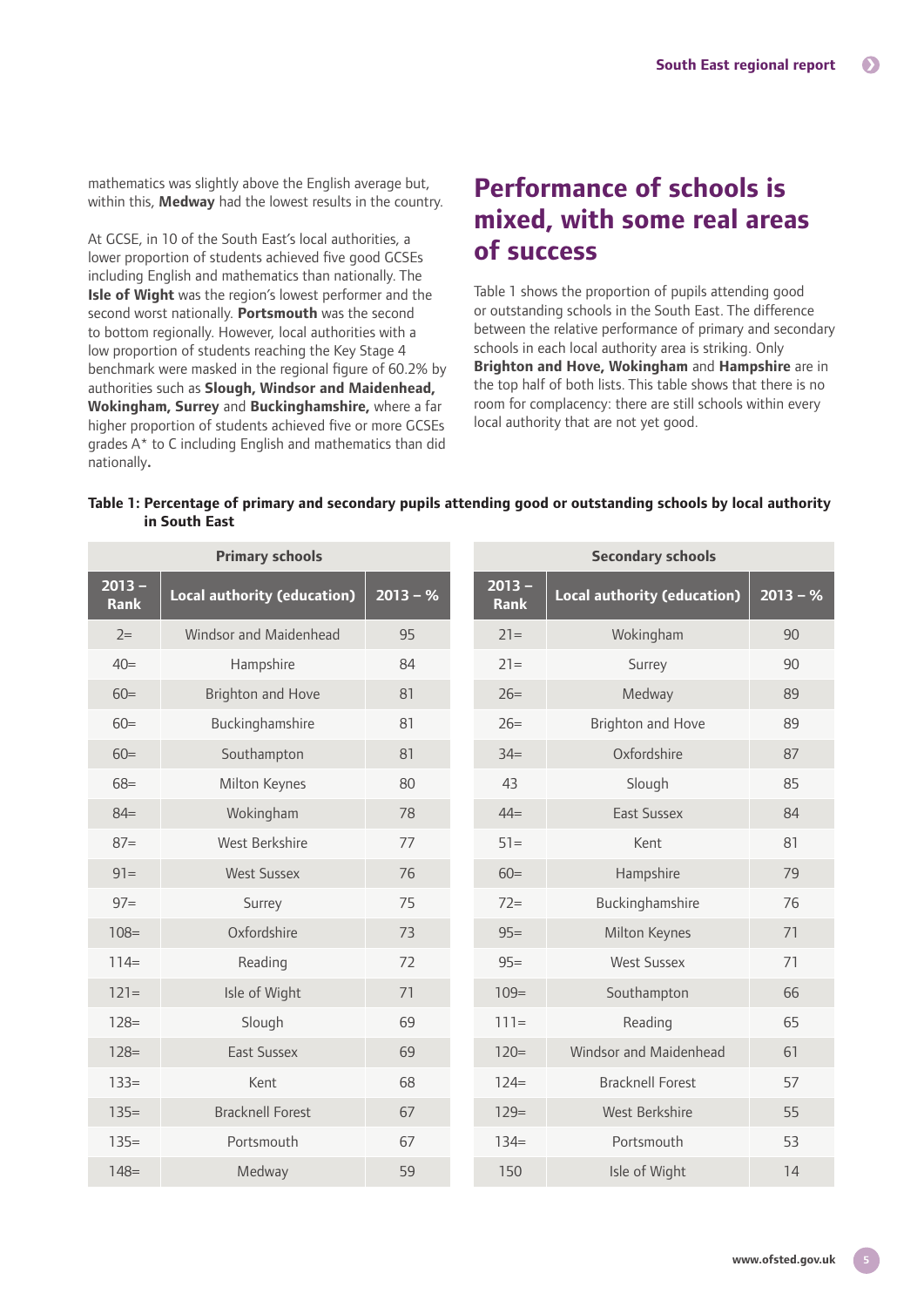mathematics was slightly above the English average but, within this, **Medway** had the lowest results in the country.

At GCSE, in 10 of the South East's local authorities, a lower proportion of students achieved five good GCSEs including English and mathematics than nationally. The **Isle of Wight** was the region's lowest performer and the second worst nationally. **Portsmouth** was the second to bottom regionally. However, local authorities with a low proportion of students reaching the Key Stage 4 benchmark were masked in the regional figure of 60.2% by authorities such as **Slough, Windsor and Maidenhead, Wokingham, Surrey** and **Buckinghamshire,** where a far higher proportion of students achieved five or more GCSEs grades A\* to C including English and mathematics than did nationally**.**

## **Performance of schools is mixed, with some real areas of success**

Table 1 shows the proportion of pupils attending good or outstanding schools in the South East. The difference between the relative performance of primary and secondary schools in each local authority area is striking. Only **Brighton and Hove, Wokingham** and **Hampshire** are in the top half of both lists. This table shows that there is no room for complacency: there are still schools within every local authority that are not yet good.

|               | Table 1: Percentage of primary and secondary pupils attending good or outstanding schools by local authority |
|---------------|--------------------------------------------------------------------------------------------------------------|
| in South East |                                                                                                              |

| <b>Primary schools</b>  |                                    |            | <b>Secondary schools</b> |                                    |            |  |
|-------------------------|------------------------------------|------------|--------------------------|------------------------------------|------------|--|
| $2013 -$<br><b>Rank</b> | <b>Local authority (education)</b> | $2013 - %$ | $2013 -$<br><b>Rank</b>  | <b>Local authority (education)</b> | $2013 - %$ |  |
| $2=$                    | Windsor and Maidenhead             | 95         | $21 =$                   | Wokingham                          | 90         |  |
| $40=$                   | Hampshire                          | 84         | $21=$                    | Surrey                             | 90         |  |
| $60=$                   | <b>Brighton and Hove</b>           | 81         | $26=$                    | Medway                             | 89         |  |
| $60=$                   | Buckinghamshire                    | 81         | $26=$                    | <b>Brighton and Hove</b>           | 89         |  |
| $60=$                   | Southampton                        | 81         | $34 =$                   | Oxfordshire                        | 87         |  |
| $68 =$                  | Milton Keynes                      | 80         | 43                       | Slough                             | 85         |  |
| $84=$                   | Wokingham                          | 78         | $44 =$                   | <b>Fast Sussex</b>                 | 84         |  |
| $87=$                   | West Berkshire                     | 77         | $51 =$                   | Kent                               | 81         |  |
| $91 =$                  | <b>West Sussex</b>                 | 76         | $60=$                    | Hampshire                          | 79         |  |
| $97 =$                  | Surrey                             | 75         | $72 =$                   | Buckinghamshire                    | 76         |  |
| $108 =$                 | Oxfordshire                        | 73         | $95=$                    | Milton Keynes                      | 71         |  |
| $114=$                  | Reading                            | 72         | $95=$                    | <b>West Sussex</b>                 | 71         |  |
| $121=$                  | Isle of Wight                      | 71         | $109=$                   | Southampton                        | 66         |  |
| $128=$                  | Slough                             | 69         | $111 =$                  | Reading                            | 65         |  |
| $128=$                  | East Sussex                        | 69         | $120=$                   | Windsor and Maidenhead             | 61         |  |
| $133=$                  | Kent                               | 68         | $124=$                   | <b>Bracknell Forest</b>            | 57         |  |
| $135=$                  | <b>Bracknell Forest</b>            | 67         | $129=$                   | West Berkshire                     | 55         |  |
| $135=$                  | Portsmouth                         | 67         | $134=$                   | Portsmouth                         | 53         |  |
| $148 =$                 | Medway                             | 59         | 150                      | Isle of Wight                      | 14         |  |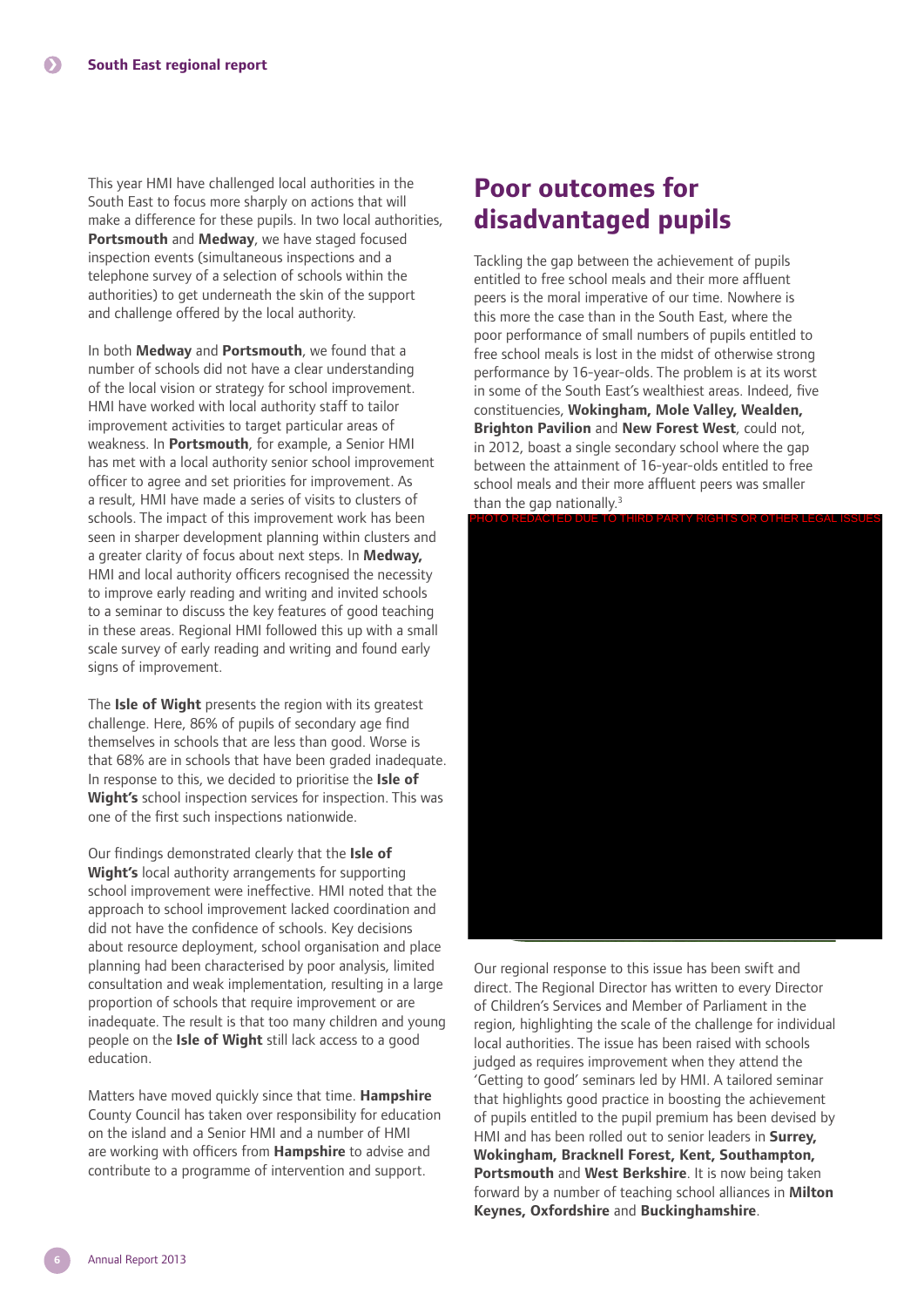This year HMI have challenged local authorities in the South East to focus more sharply on actions that will make a difference for these pupils. In two local authorities, **Portsmouth** and **Medway**, we have staged focused inspection events (simultaneous inspections and a telephone survey of a selection of schools within the authorities) to get underneath the skin of the support and challenge offered by the local authority.

In both **Medway** and **Portsmouth**, we found that a number of schools did not have a clear understanding of the local vision or strategy for school improvement. HMI have worked with local authority staff to tailor improvement activities to target particular areas of weakness. In **Portsmouth**, for example, a Senior HMI has met with a local authority senior school improvement officer to agree and set priorities for improvement. As a result, HMI have made a series of visits to clusters of schools. The impact of this improvement work has been seen in sharper development planning within clusters and a greater clarity of focus about next steps. In **Medway,** HMI and local authority officers recognised the necessity to improve early reading and writing and invited schools to a seminar to discuss the key features of good teaching in these areas. Regional HMI followed this up with a small scale survey of early reading and writing and found early signs of improvement.

The **Isle of Wight** presents the region with its greatest challenge. Here, 86% of pupils of secondary age find themselves in schools that are less than good. Worse is that 68% are in schools that have been graded inadequate. In response to this, we decided to prioritise the **Isle of Wight's** school inspection services for inspection. This was one of the first such inspections nationwide.

Our findings demonstrated clearly that the **Isle of Wight's** local authority arrangements for supporting school improvement were ineffective. HMI noted that the approach to school improvement lacked coordination and did not have the confidence of schools. Key decisions about resource deployment, school organisation and place planning had been characterised by poor analysis, limited consultation and weak implementation, resulting in a large proportion of schools that require improvement or are inadequate. The result is that too many children and young people on the **Isle of Wight** still lack access to a good education.

Matters have moved quickly since that time. **Hampshire**  County Council has taken over responsibility for education on the island and a Senior HMI and a number of HMI are working with officers from **Hampshire** to advise and contribute to a programme of intervention and support.

## **Poor outcomes for disadvantaged pupils**

Tackling the gap between the achievement of pupils entitled to free school meals and their more affluent peers is the moral imperative of our time. Nowhere is this more the case than in the South East, where the poor performance of small numbers of pupils entitled to free school meals is lost in the midst of otherwise strong performance by 16-year-olds. The problem is at its worst in some of the South East's wealthiest areas. Indeed, five constituencies, **Wokingham, Mole Valley, Wealden, Brighton Pavilion** and **New Forest West**, could not, in 2012, boast a single secondary school where the gap between the attainment of 16-year-olds entitled to free school meals and their more affluent peers was smaller than the gap nationally. $3$ 



Our regional response to this issue has been swift and direct. The Regional Director has written to every Director of Children's Services and Member of Parliament in the region, highlighting the scale of the challenge for individual local authorities. The issue has been raised with schools judged as requires improvement when they attend the 'Getting to good' seminars led by HMI. A tailored seminar that highlights good practice in boosting the achievement of pupils entitled to the pupil premium has been devised by HMI and has been rolled out to senior leaders in **Surrey, Wokingham, Bracknell Forest, Kent, Southampton, Portsmouth** and **West Berkshire**. It is now being taken forward by a number of teaching school alliances in **Milton Keynes, Oxfordshire** and **Buckinghamshire**.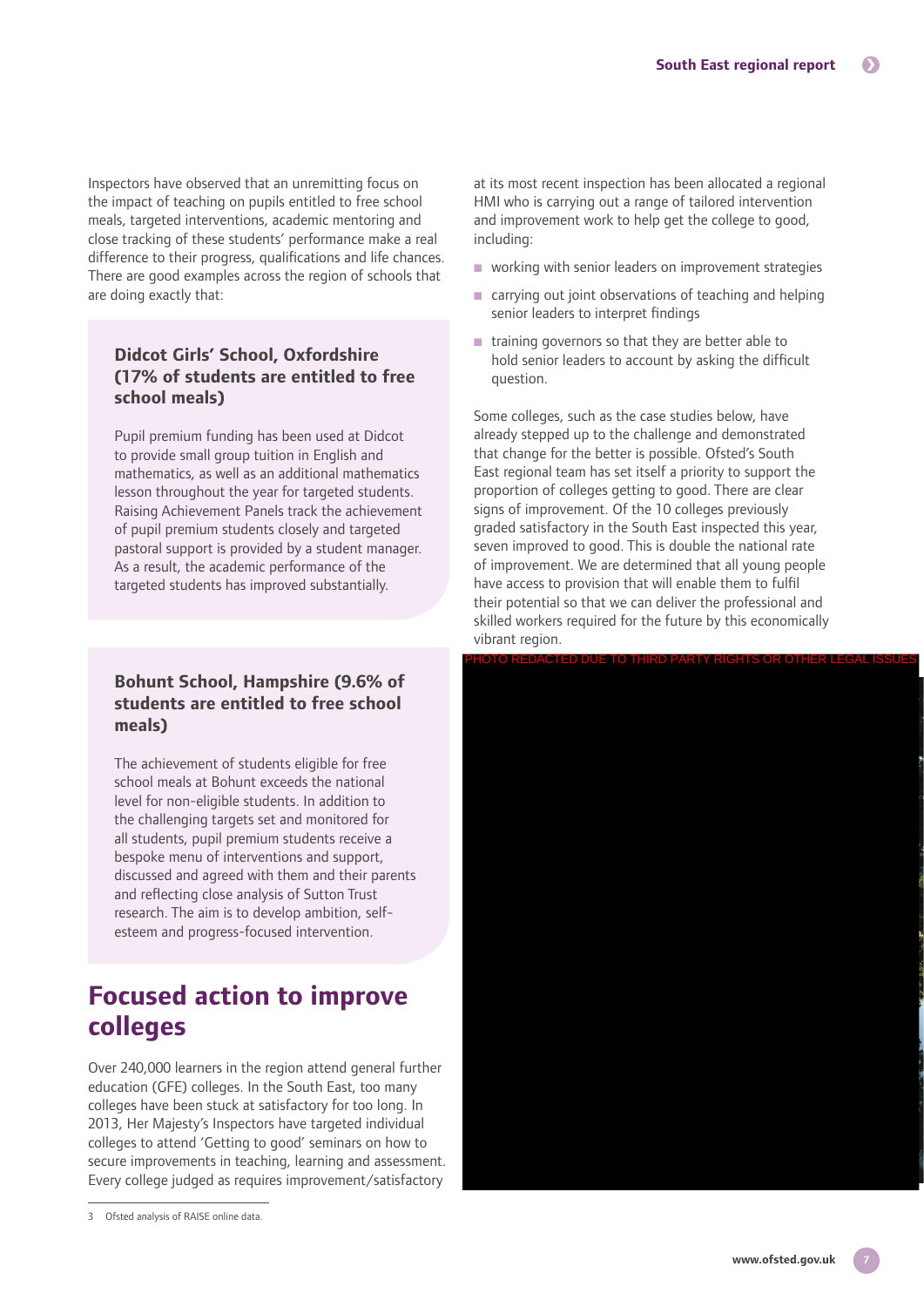Inspectors have observed that an unremitting focus on the impact of teaching on pupils entitled to free school meals, targeted interventions, academic mentoring and close tracking of these students' performance make a real difference to their progress, qualifications and life chances. There are good examples across the region of schools that are doing exactly that:

## **Didcot Girls' School, Oxfordshire (17% of students are entitled to free school meals)**

Pupil premium funding has been used at Didcot to provide small group tuition in English and mathematics, as well as an additional mathematics lesson throughout the year for targeted students. Raising Achievement Panels track the achievement of pupil premium students closely and targeted pastoral support is provided by a student manager. As a result, the academic performance of the targeted students has improved substantially.

## **Bohunt School, Hampshire (9.6% of students are entitled to free school meals)**

The achievement of students eligible for free school meals at Bohunt exceeds the national level for non-eligible students. In addition to the challenging targets set and monitored for all students, pupil premium students receive a bespoke menu of interventions and support, discussed and agreed with them and their parents and reflecting close analysis of Sutton Trust research. The aim is to develop ambition, selfesteem and progress-focused intervention.

# **Focused action to improve colleges**

Over 240,000 learners in the region attend general further education (GFE) colleges. In the South East, too many colleges have been stuck at satisfactory for too long. In 2013, Her Majesty's Inspectors have targeted individual colleges to attend 'Getting to good' seminars on how to secure improvements in teaching, learning and assessment. Every college judged as requires improvement/satisfactory

at its most recent inspection has been allocated a regional HMI who is carrying out a range of tailored intervention and improvement work to help get the college to good, including:

- working with senior leaders on improvement strategies
- carrying out joint observations of teaching and helping senior leaders to interpret findings
- training governors so that they are better able to hold senior leaders to account by asking the difficult question.

Some colleges, such as the case studies below, have already stepped up to the challenge and demonstrated that change for the better is possible. Ofsted's South East regional team has set itself a priority to support the proportion of colleges getting to good. There are clear signs of improvement. Of the 10 colleges previously graded satisfactory in the South East inspected this year, seven improved to good. This is double the national rate of improvement. We are determined that all young people have access to provision that will enable them to fulfil their potential so that we can deliver the professional and skilled workers required for the future by this economically vibrant region.



<sup>3</sup> Ofsted analysis of RAISE online data.